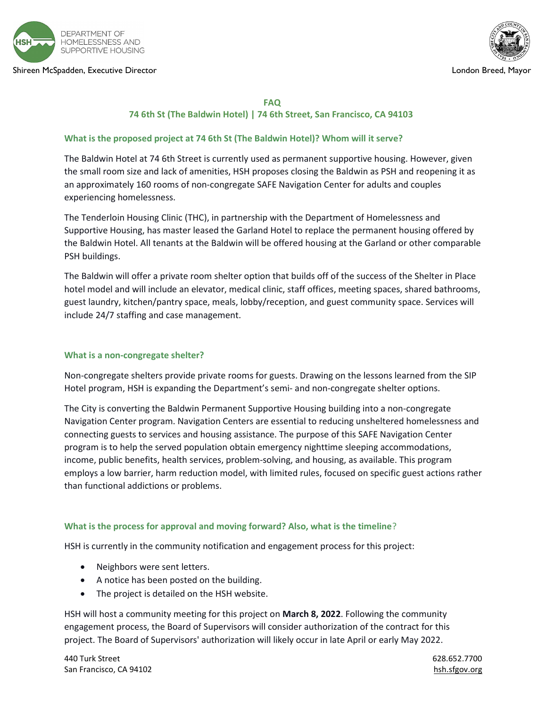

#### Shireen McSpadden, Executive Director London Breed, Mayor



#### FAQ

# 74 6th St (The Baldwin Hotel) | 74 6th Street, San Francisco, CA 94103

# What is the proposed project at 74 6th St (The Baldwin Hotel)? Whom will it serve?

The Baldwin Hotel at 74 6th Street is currently used as permanent supportive housing. However, given the small room size and lack of amenities, HSH proposes closing the Baldwin as PSH and reopening it as an approximately 160 rooms of non-congregate SAFE Navigation Center for adults and couples experiencing homelessness.

The Tenderloin Housing Clinic (THC), in partnership with the Department of Homelessness and Supportive Housing, has master leased the Garland Hotel to replace the permanent housing offered by the Baldwin Hotel. All tenants at the Baldwin will be offered housing at the Garland or other comparable PSH buildings.

The Baldwin will offer a private room shelter option that builds off of the success of the Shelter in Place hotel model and will include an elevator, medical clinic, staff offices, meeting spaces, shared bathrooms, guest laundry, kitchen/pantry space, meals, lobby/reception, and guest community space. Services will include 24/7 staffing and case management.

# What is a non-congregate shelter?

Non-congregate shelters provide private rooms for guests. Drawing on the lessons learned from the SIP Hotel program, HSH is expanding the Department's semi- and non-congregate shelter options.

The City is converting the Baldwin Permanent Supportive Housing building into a non-congregate Navigation Center program. Navigation Centers are essential to reducing unsheltered homelessness and connecting guests to services and housing assistance. The purpose of this SAFE Navigation Center program is to help the served population obtain emergency nighttime sleeping accommodations, income, public benefits, health services, problem-solving, and housing, as available. This program employs a low barrier, harm reduction model, with limited rules, focused on specific guest actions rather than functional addictions or problems.

# What is the process for approval and moving forward? Also, what is the timeline?

HSH is currently in the community notification and engagement process for this project:

- Neighbors were sent letters.
- A notice has been posted on the building.
- The project is detailed on the HSH website.

HSH will host a community meeting for this project on March 8, 2022. Following the community engagement process, the Board of Supervisors will consider authorization of the contract for this project. The Board of Supervisors' authorization will likely occur in late April or early May 2022.